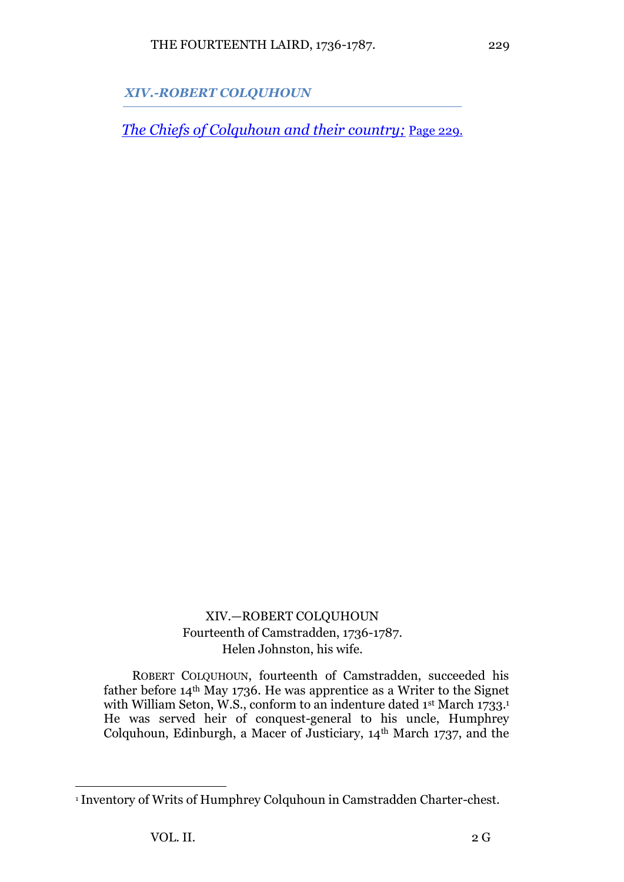*XIV.-ROBERT COLQUHOUN*

*[The Chiefs of Colquhoun and their country;](http://www.archive.org/details/chiefsofcolquhou02fras)* [Page 229.](http://www.archive.org/stream/chiefsofcolquhou02fras#page/229/mode/1up)

XIV.—ROBERT COLQUHOUN Fourteenth of Camstradden, 1736-1787. Helen Johnston, his wife.

ROBERT COLQUHOUN, fourteenth of Camstradden, succeeded his father before 14th May 1736. He was apprentice as a Writer to the Signet with William Seton, W.S., conform to an indenture dated 1st March 1733.<sup>1</sup> He was served heir of conquest-general to his uncle, Humphrey Colquhoun, Edinburgh, a Macer of Justiciary, 14th March 1737, and the

<sup>1</sup> Inventory of Writs of Humphrey Colquhoun in Camstradden Charter-chest.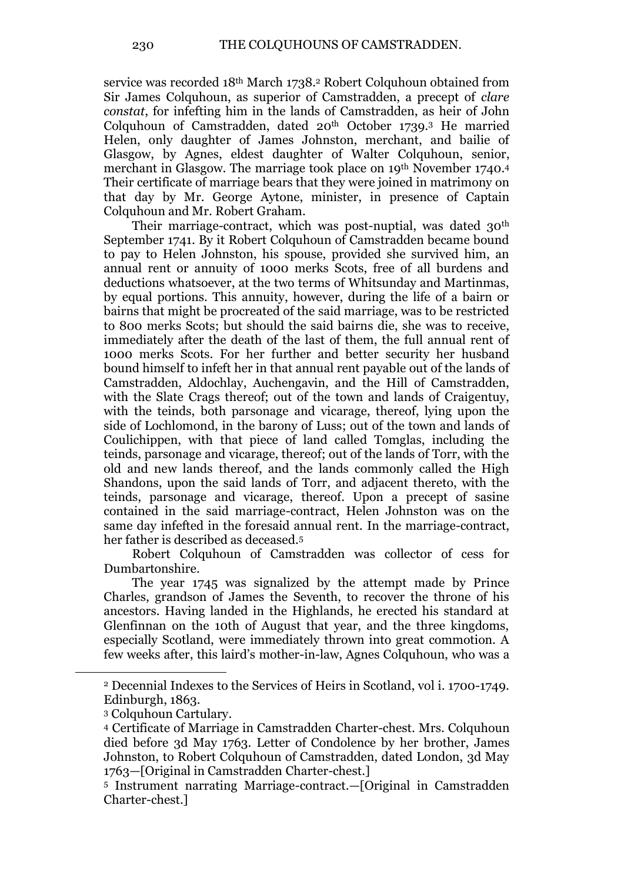service was recorded 18<sup>th</sup> March 1738.<sup>2</sup> Robert Colquhoun obtained from Sir James Colquhoun, as superior of Camstradden, a precept of *clare constat*, for infefting him in the lands of Camstradden, as heir of John Colquhoun of Camstradden, dated 20<sup>th</sup> October 1739.<sup>3</sup> He married Helen, only daughter of James Johnston, merchant, and bailie of Glasgow, by Agnes, eldest daughter of Walter Colquhoun, senior, merchant in Glasgow. The marriage took place on 19<sup>th</sup> November 1740.<sup>4</sup> Their certificate of marriage bears that they were joined in matrimony on that day by Mr. George Aytone, minister, in presence of Captain Colquhoun and Mr. Robert Graham.

Their marriage-contract, which was post-nuptial, was dated 30<sup>th</sup> September 1741. By it Robert Colquhoun of Camstradden became bound to pay to Helen Johnston, his spouse, provided she survived him, an annual rent or annuity of 1000 merks Scots, free of all burdens and deductions whatsoever, at the two terms of Whitsunday and Martinmas, by equal portions. This annuity, however, during the life of a bairn or bairns that might be procreated of the said marriage, was to be restricted to 800 merks Scots; but should the said bairns die, she was to receive, immediately after the death of the last of them, the full annual rent of 1000 merks Scots. For her further and better security her husband bound himself to infeft her in that annual rent payable out of the lands of Camstradden, Aldochlay, Auchengavin, and the Hill of Camstradden, with the Slate Crags thereof; out of the town and lands of Craigentuy, with the teinds, both parsonage and vicarage, thereof, lying upon the side of Lochlomond, in the barony of Luss; out of the town and lands of Coulichippen, with that piece of land called Tomglas, including the teinds, parsonage and vicarage, thereof; out of the lands of Torr, with the old and new lands thereof, and the lands commonly called the High Shandons, upon the said lands of Torr, and adjacent thereto, with the teinds, parsonage and vicarage, thereof. Upon a precept of sasine contained in the said marriage-contract, Helen Johnston was on the same day infefted in the foresaid annual rent. In the marriage-contract, her father is described as deceased.<sup>5</sup>

Robert Colquhoun of Camstradden was collector of cess for Dumbartonshire.

The year 1745 was signalized by the attempt made by Prince Charles, grandson of James the Seventh, to recover the throne of his ancestors. Having landed in the Highlands, he erected his standard at Glenfinnan on the 10th of August that year, and the three kingdoms, especially Scotland, were immediately thrown into great commotion. A few weeks after, this laird's mother-in-law, Agnes Colquhoun, who was a

<sup>2</sup> Decennial Indexes to the Services of Heirs in Scotland, vol i. 1700-1749. Edinburgh, 1863.

<sup>3</sup> Colquhoun Cartulary.

<sup>4</sup> Certificate of Marriage in Camstradden Charter-chest. Mrs. Colquhoun died before 3d May 1763. Letter of Condolence by her brother, James Johnston, to Robert Colquhoun of Camstradden, dated London, 3d May 1763—[Original in Camstradden Charter-chest.]

<sup>5</sup> Instrument narrating Marriage-contract.—[Original in Camstradden Charter-chest.]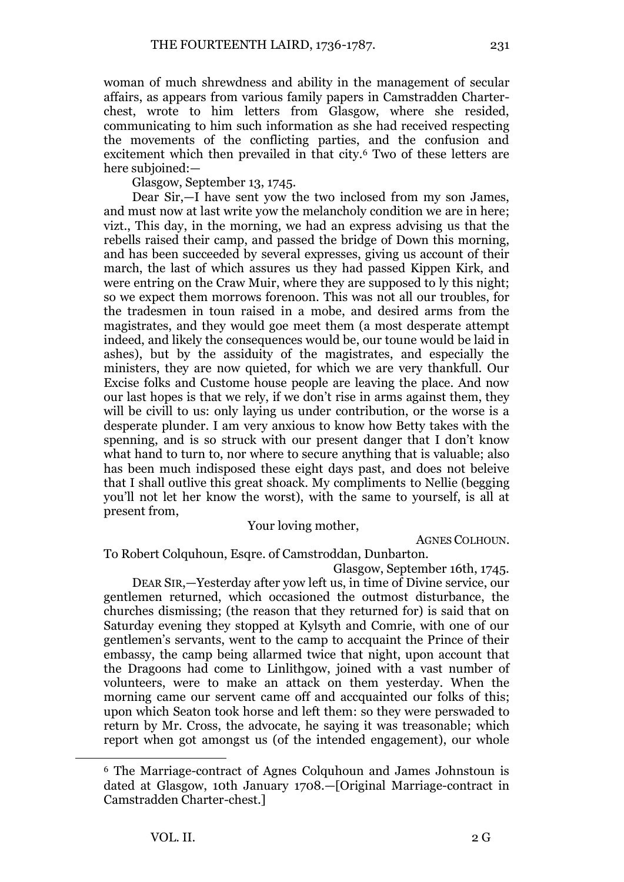woman of much shrewdness and ability in the management of secular affairs, as appears from various family papers in Camstradden Charterchest, wrote to him letters from Glasgow, where she resided, communicating to him such information as she had received respecting the movements of the conflicting parties, and the confusion and excitement which then prevailed in that city.<sup>6</sup> Two of these letters are here subjoined:—

Glasgow, September 13, 1745.

Dear Sir,—I have sent yow the two inclosed from my son James, and must now at last write yow the melancholy condition we are in here; vizt., This day, in the morning, we had an express advising us that the rebells raised their camp, and passed the bridge of Down this morning, and has been succeeded by several expresses, giving us account of their march, the last of which assures us they had passed Kippen Kirk, and were entring on the Craw Muir, where they are supposed to ly this night; so we expect them morrows forenoon. This was not all our troubles, for the tradesmen in toun raised in a mobe, and desired arms from the magistrates, and they would goe meet them (a most desperate attempt indeed, and likely the consequences would be, our toune would be laid in ashes), but by the assiduity of the magistrates, and especially the ministers, they are now quieted, for which we are very thankfull. Our Excise folks and Custome house people are leaving the place. And now our last hopes is that we rely, if we don't rise in arms against them, they will be civill to us: only laying us under contribution, or the worse is a desperate plunder. I am very anxious to know how Betty takes with the spenning, and is so struck with our present danger that I don't know what hand to turn to, nor where to secure anything that is valuable; also has been much indisposed these eight days past, and does not beleive that I shall outlive this great shoack. My compliments to Nellie (begging you'll not let her know the worst), with the same to yourself, is all at present from,

## Your loving mother,

AGNES COLHOUN.

To Robert Colquhoun, Esqre. of Camstroddan, Dunbarton.

Glasgow, September 16th, 1745.

DEAR SIR,—Yesterday after yow left us, in time of Divine service, our gentlemen returned, which occasioned the outmost disturbance, the churches dismissing; (the reason that they returned for) is said that on Saturday evening they stopped at Kylsyth and Comrie, with one of our gentlemen's servants, went to the camp to accquaint the Prince of their embassy, the camp being allarmed twice that night, upon account that the Dragoons had come to Linlithgow, joined with a vast number of volunteers, were to make an attack on them yesterday. When the morning came our servent came off and accquainted our folks of this; upon which Seaton took horse and left them: so they were perswaded to return by Mr. Cross, the advocate, he saying it was treasonable; which report when got amongst us (of the intended engagement), our whole

<sup>6</sup> The Marriage-contract of Agnes Colquhoun and James Johnstoun is dated at Glasgow, 10th January 1708.—[Original Marriage-contract in Camstradden Charter-chest.]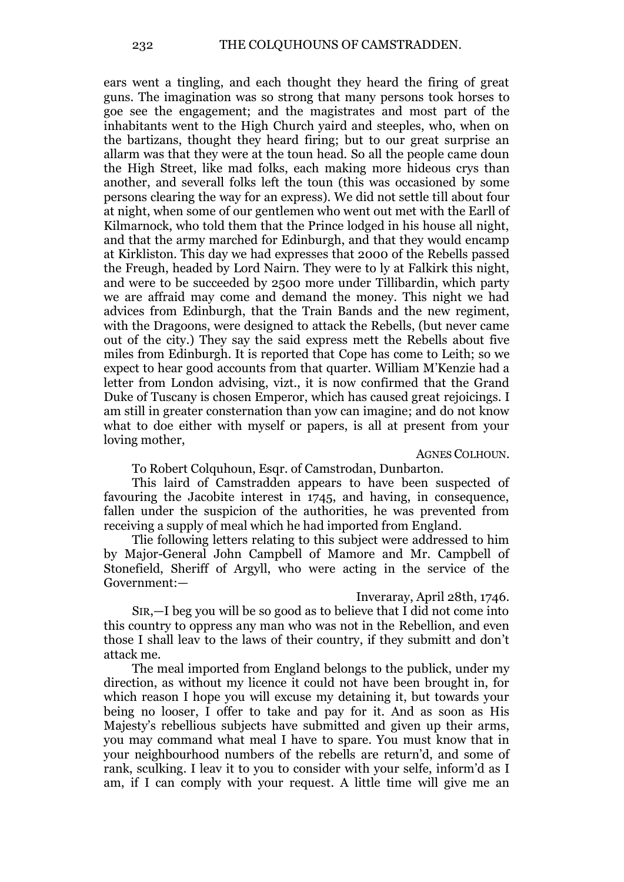ears went a tingling, and each thought they heard the firing of great guns. The imagination was so strong that many persons took horses to goe see the engagement; and the magistrates and most part of the inhabitants went to the High Church yaird and steeples, who, when on the bartizans, thought they heard firing; but to our great surprise an allarm was that they were at the toun head. So all the people came doun the High Street, like mad folks, each making more hideous crys than another, and severall folks left the toun (this was occasioned by some persons clearing the way for an express). We did not settle till about four at night, when some of our gentlemen who went out met with the Earll of Kilmarnock, who told them that the Prince lodged in his house all night, and that the army marched for Edinburgh, and that they would encamp at Kirkliston. This day we had expresses that 2000 of the Rebells passed the Freugh, headed by Lord Nairn. They were to ly at Falkirk this night, and were to be succeeded by 2500 more under Tillibardin, which party we are affraid may come and demand the money. This night we had advices from Edinburgh, that the Train Bands and the new regiment, with the Dragoons, were designed to attack the Rebells, (but never came out of the city.) They say the said express mett the Rebells about five miles from Edinburgh. It is reported that Cope has come to Leith; so we expect to hear good accounts from that quarter. William M'Kenzie had a letter from London advising, vizt., it is now confirmed that the Grand Duke of Tuscany is chosen Emperor, which has caused great rejoicings. I am still in greater consternation than yow can imagine; and do not know what to doe either with myself or papers, is all at present from your loving mother,

AGNES COLHOUN.

## To Robert Colquhoun, Esqr. of Camstrodan, Dunbarton.

This laird of Camstradden appears to have been suspected of favouring the Jacobite interest in 1745, and having, in consequence, fallen under the suspicion of the authorities, he was prevented from receiving a supply of meal which he had imported from England.

Tlie following letters relating to this subject were addressed to him by Major-General John Campbell of Mamore and Mr. Campbell of Stonefield, Sheriff of Argyll, who were acting in the service of the Government:—

Inveraray, April 28th, 1746.

SIR,—I beg you will be so good as to believe that I did not come into this country to oppress any man who was not in the Rebellion, and even those I shall leav to the laws of their country, if they submitt and don't attack me.

The meal imported from England belongs to the publick, under my direction, as without my licence it could not have been brought in, for which reason I hope you will excuse my detaining it, but towards your being no looser, I offer to take and pay for it. And as soon as His Majesty's rebellious subjects have submitted and given up their arms, you may command what meal I have to spare. You must know that in your neighbourhood numbers of the rebells are return'd, and some of rank, sculking. I leav it to you to consider with your selfe, inform'd as I am, if I can comply with your request. A little time will give me an